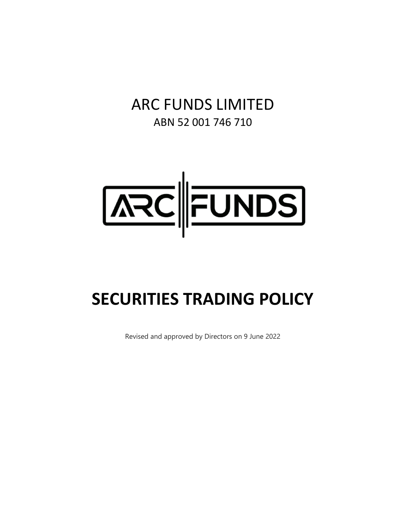ARC FUNDS LIMITED ABN 52 001 746 710



# **SECURITIES TRADING POLICY**

Revised and approved by Directors on 9 June 2022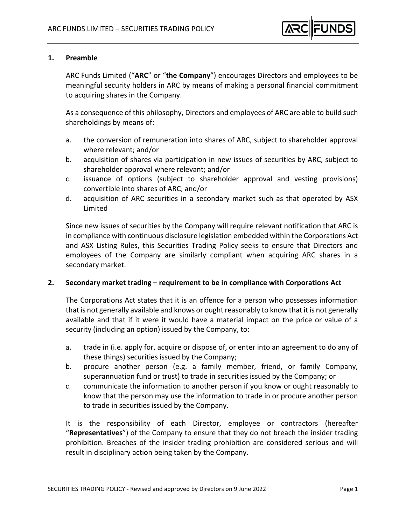# **1. Preamble**

ARC Funds Limited ("**ARC**" or "**the Company**") encourages Directors and employees to be meaningful security holders in ARC by means of making a personal financial commitment to acquiring shares in the Company.

As a consequence of this philosophy, Directors and employees of ARC are able to build such shareholdings by means of:

- a. the conversion of remuneration into shares of ARC, subject to shareholder approval where relevant; and/or
- b. acquisition of shares via participation in new issues of securities by ARC, subject to shareholder approval where relevant; and/or
- c. issuance of options (subject to shareholder approval and vesting provisions) convertible into shares of ARC; and/or
- d. acquisition of ARC securities in a secondary market such as that operated by ASX Limited

Since new issues of securities by the Company will require relevant notification that ARC is in compliance with continuous disclosure legislation embedded within the Corporations Act and ASX Listing Rules, this Securities Trading Policy seeks to ensure that Directors and employees of the Company are similarly compliant when acquiring ARC shares in a secondary market.

## **2. Secondary market trading – requirement to be in compliance with Corporations Act**

The Corporations Act states that it is an offence for a person who possesses information that is not generally available and knows or ought reasonably to know that it is not generally available and that if it were it would have a material impact on the price or value of a security (including an option) issued by the Company, to:

- a. trade in (i.e. apply for, acquire or dispose of, or enter into an agreement to do any of these things) securities issued by the Company;
- b. procure another person (e.g. a family member, friend, or family Company, superannuation fund or trust) to trade in securities issued by the Company; or
- c. communicate the information to another person if you know or ought reasonably to know that the person may use the information to trade in or procure another person to trade in securities issued by the Company.

It is the responsibility of each Director, employee or contractors (hereafter "**Representatives**") of the Company to ensure that they do not breach the insider trading prohibition. Breaches of the insider trading prohibition are considered serious and will result in disciplinary action being taken by the Company.